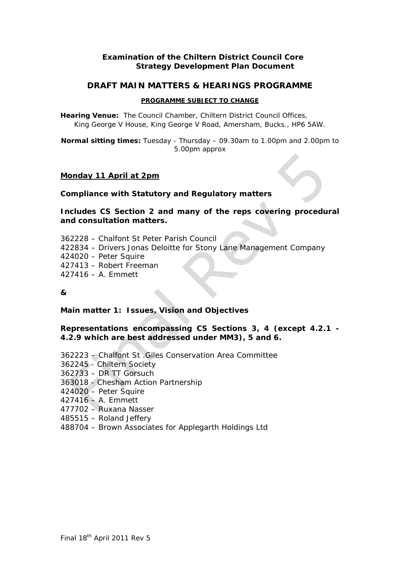## **Examination of the Chiltern District Council Core Strategy Development Plan Document**

## **DRAFT MAIN MATTERS & HEARINGS PROGRAMME**

#### **PROGRAMME SUBJECT TO CHANGE**

**Hearing Venue:** The Council Chamber, Chiltern District Council Offices, King George V House, King George V Road, Amersham, Bucks., HP6 5AW.

**Normal sitting times:** Tuesday - Thursday – 09.30am to 1.00pm and 2.00pm to 5.00pm approx

## *Monday 11 April at 2pm*

## **Compliance with Statutory and Regulatory matters**

**Includes CS Section 2 and many of the reps covering procedural and consultation matters.** 

*362228 – Chalfont St Peter Parish Council 422834 – Drivers Jonas Deloitte for Stony Lane Management Company 424020 – Peter Squire 427413 – Robert Freeman 427416 – A. Emmett*

**&** 

**Main matter 1: Issues, Vision and Objectives** 

## **Representations encompassing CS Sections 3, 4 (except 4.2.1 - 4.2.9 which are best addressed under MM3), 5 and 6.**

*362223 – Chalfont St .Giles Conservation Area Committee 362245 - Chiltern Society 362733 – DR TT Gorsuch 363018 - Chesham Action Partnership 424020 – Peter Squire 427416 – A. Emmett 477702 – Ruxana Nasser 485515 – Roland Jeffery 488704 – Brown Associates for Applegarth Holdings Ltd*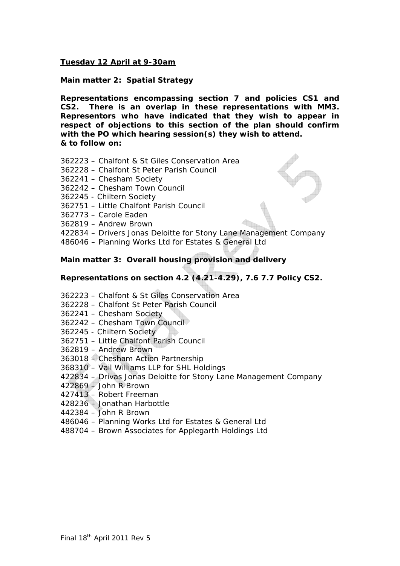## *Tuesday 12 April at 9-30am*

**Main matter 2: Spatial Strategy** 

**Representations encompassing section 7 and policies CS1 and CS2. There is an overlap in these representations with MM3. Representors who have indicated that they wish to appear in respect of objections to this section of the plan should confirm with the PO which hearing session(s) they wish to attend. & to follow on:** 

- *362223 Chalfont & St Giles Conservation Area*
- *362228 Chalfont St Peter Parish Council*
- *362241 Chesham Society*
- *362242 Chesham Town Council*
- *362245 Chiltern Society*
- *362751 Little Chalfont Parish Council*
- *362773 Carole Eaden*

*362819 – Andrew Brown* 

- *422834 Drivers Jonas Deloitte for Stony Lane Management Company*
- *486046 Planning Works Ltd for Estates & General Ltd*

## **Main matter 3: Overall housing provision and delivery**

## **Representations on section 4.2 (4.21-4.29), 7.6 7.7 Policy CS2.**

- *362223 Chalfont & St Giles Conservation Area*
- *362228 Chalfont St Peter Parish Council*
- *362241 Chesham Society*
- *362242 Chesham Town Council*
- *362245 Chiltern Society*
- *362751 Little Chalfont Parish Council*
- *362819 Andrew Brown*
- *363018 Chesham Action Partnership*
- *368310 Vail Williams LLP for SHL Holdings*
- *422834 Drivas Jonas Deloitte for Stony Lane Management Company*
- *422869 John R Brown*
- *427413 Robert Freeman*
- *428236 Jonathan Harbottle*
- *442384 John R Brown*
- *486046 Planning Works Ltd for Estates & General Ltd*
- *488704 Brown Associates for Applegarth Holdings Ltd*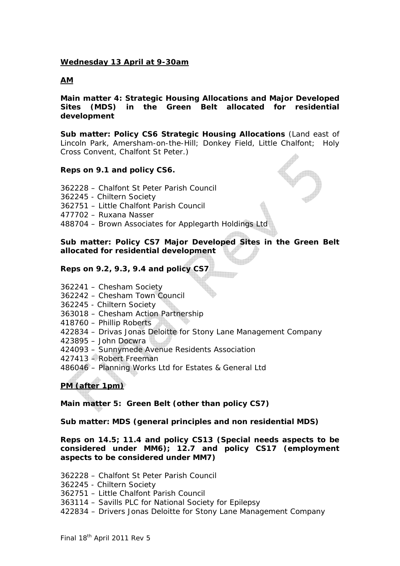## *Wednesday 13 April at 9-30am*

## *AM*

**Main matter 4: Strategic Housing Allocations and Major Developed Sites (MDS) in the Green Belt allocated for residential development** 

**Sub matter: Policy CS6 Strategic Housing Allocations** (Land east of Lincoln Park, Amersham-on-the-Hill; Donkey Field, Little Chalfont; Holy Cross Convent, Chalfont St Peter.)

## **Reps on 9.1 and policy CS6.**

*362228 – Chalfont St Peter Parish Council 362245 - Chiltern Society 362751 – Little Chalfont Parish Council 477702 – Ruxana Nasser 488704 – Brown Associates for Applegarth Holdings Ltd* 

**Sub matter: Policy CS7 Major Developed Sites in the Green Belt allocated for residential development** 

## **Reps on 9.2, 9.3, 9.4 and policy CS7**

*362241 – Chesham Society* 

- *362242 Chesham Town Council*
- *362245 Chiltern Society*
- *363018 Chesham Action Partnership*
- *418760 Phillip Roberts*
- *422834 Drivas Jonas Deloitte for Stony Lane Management Company*
- *423895 John Docwra*
- *424093 Sunnymede Avenue Residents Association*
- *427413 Robert Freeman*
- *486046 Planning Works Ltd for Estates & General Ltd*

# *PM (after 1pm)*

**Main matter 5: Green Belt (other than policy CS7)** 

## **Sub matter: MDS (general principles and non residential MDS)**

**Reps on 14.5; 11.4 and policy CS13 (Special needs aspects to be considered under MM6); 12.7 and policy CS17 (employment aspects to be considered under MM7)** 

*362228 – Chalfont St Peter Parish Council* 

*362245 - Chiltern Society* 

*362751 – Little Chalfont Parish Council* 

*363114 – Savills PLC for National Society for Epilepsy* 

*422834 – Drivers Jonas Deloitte for Stony Lane Management Company*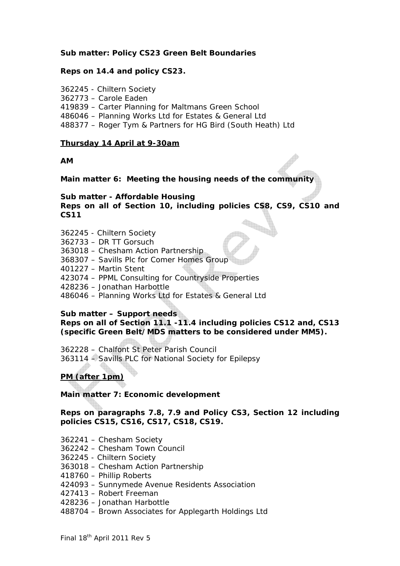## **Sub matter: Policy CS23 Green Belt Boundaries**

## **Reps on 14.4 and policy CS23.**

*362245 - Chiltern Society* 

*362773 – Carole Eaden* 

*419839 – Carter Planning for Maltmans Green School* 

*486046 – Planning Works Ltd for Estates & General Ltd* 

*488377 – Roger Tym & Partners for HG Bird (South Heath) Ltd* 

## *Thursday 14 April at 9-30am*

**AM** 

**Main matter 6: Meeting the housing needs of the community** 

**Sub matter - Affordable Housing Reps on all of Section 10, including policies CS8, CS9, CS10 and CS11** 

*362245 - Chiltern Society* 

*362733 – DR TT Gorsuch* 

*363018 – Chesham Action Partnership* 

*368307 – Savills Plc for Comer Homes Group* 

*401227 – Martin Stent* 

*423074 – PPML Consulting for Countryside Properties* 

*428236 – Jonathan Harbottle* 

*486046 – Planning Works Ltd for Estates & General Ltd* 

## **Sub matter – Support needs**

**Reps on all of Section 11.1 -11.4 including policies CS12 and, CS13 (specific Green Belt/MDS matters to be considered under MM5).** 

*362228 – Chalfont St Peter Parish Council 363114 – Savills PLC for National Society for Epilepsy*

# *PM (after 1pm)*

**Main matter 7: Economic development** 

**Reps on paragraphs 7.8, 7.9 and Policy CS3, Section 12 including policies CS15, CS16, CS17, CS18, CS19.** 

*362241 – Chesham Society* 

*362242 – Chesham Town Council* 

*362245 - Chiltern Society* 

*363018 – Chesham Action Partnership* 

*418760 – Phillip Roberts* 

*424093 – Sunnymede Avenue Residents Association* 

*427413 – Robert Freeman* 

*428236 – Jonathan Harbottle* 

*488704 – Brown Associates for Applegarth Holdings Ltd*